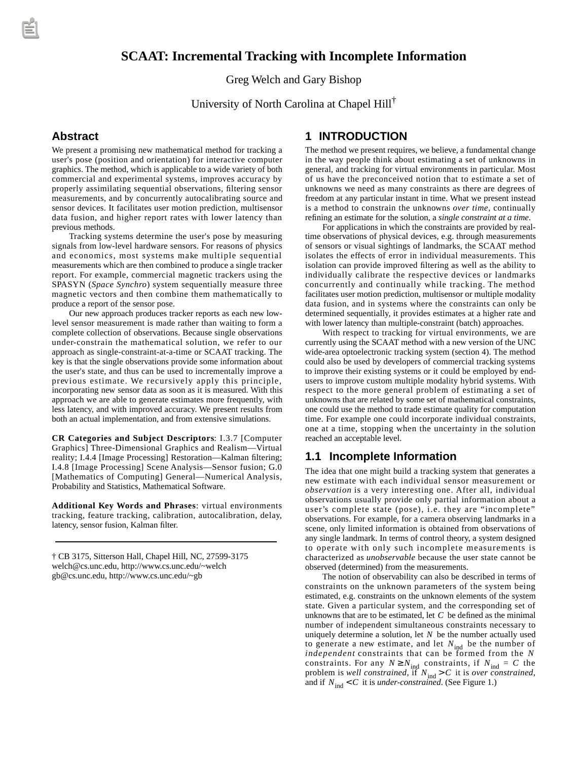# **SCAAT: Incremental Tracking with Incomplete Information**

Greg Welch and Gary Bishop

University of North Carolina at Chapel Hill†

# **Abstract**

We present a promising new mathematical method for tracking a user's pose (position and orientation) for interactive computer graphics. The method, which is applicable to a wide variety of both commercial and experimental systems, improves accuracy by properly assimilating sequential observations, filtering sensor measurements, and by concurrently autocalibrating source and sensor devices. It facilitates user motion prediction, multisensor data fusion, and higher report rates with lower latency than previous methods.

Tracking systems determine the user's pose by measuring signals from low-level hardware sensors. For reasons of physics and economics, most systems make multiple sequential measurements which are then combined to produce a single tracker report. For example, commercial magnetic trackers using the SPASYN (*Space Synchro*) system sequentially measure three magnetic vectors and then combine them mathematically to produce a report of the sensor pose.

Our new approach produces tracker reports as each new lowlevel sensor measurement is made rather than waiting to form a complete collection of observations. Because single observations under-constrain the mathematical solution, we refer to our approach as single-constraint-at-a-time or SCAAT tracking. The key is that the single observations provide some information about the user's state, and thus can be used to incrementally improve a previous estimate. We recursively apply this principle, incorporating new sensor data as soon as it is measured. With this approach we are able to generate estimates more frequently, with less latency, and with improved accuracy. We present results from both an actual implementation, and from extensive simulations.

**CR Categories and Subject Descriptors**: I.3.7 [Computer Graphics] Three-Dimensional Graphics and Realism—Virtual reality; I.4.4 [Image Processing] Restoration—Kalman filtering; I.4.8 [Image Processing] Scene Analysis—Sensor fusion; G.0 [Mathematics of Computing] General—Numerical Analysis, Probability and Statistics, Mathematical Software.

**Additional Key Words and Phrases**: virtual environments tracking, feature tracking, calibration, autocalibration, delay, latency, sensor fusion, Kalman filter.

† CB 3175, Sitterson Hall, Chapel Hill, NC, 27599-3175 welch@cs.unc.edu, http://www.cs.unc.edu/~welch gb@cs.unc.edu, http://www.cs.unc.edu/~gb

# **1 INTRODUCTION**

The method we present requires, we believe, a fundamental change in the way people think about estimating a set of unknowns in general, and tracking for virtual environments in particular. Most of us have the preconceived notion that to estimate a set of unknowns we need as many constraints as there are degrees of freedom at any particular instant in time. What we present instead is a method to constrain the unknowns *over time*, continually refining an estimate for the solution, a *single constraint at a time*.

For applications in which the constraints are provided by realtime observations of physical devices, e.g. through measurements of sensors or visual sightings of landmarks, the SCAAT method isolates the effects of error in individual measurements. This isolation can provide improved filtering as well as the ability to individually calibrate the respective devices or landmarks concurrently and continually while tracking. The method facilitates user motion prediction, multisensor or multiple modality data fusion, and in systems where the constraints can only be determined sequentially, it provides estimates at a higher rate and with lower latency than multiple-constraint (batch) approaches.

With respect to tracking for virtual environments, we are currently using the SCAAT method with a new version of the UNC wide-area optoelectronic tracking system (section 4). The method could also be used by developers of commercial tracking systems to improve their existing systems or it could be employed by endusers to improve custom multiple modality hybrid systems. With respect to the more general problem of estimating a set of unknowns that are related by some set of mathematical constraints, one could use the method to trade estimate quality for computation time. For example one could incorporate individual constraints, one at a time, stopping when the uncertainty in the solution reached an acceptable level.

# **1.1 Incomplete Information**

The idea that one might build a tracking system that generates a new estimate with each individual sensor measurement or *observation* is a very interesting one. After all, individual observations usually provide only partial information about a user's complete state (pose), i.e. they are "incomplete" observations. For example, for a camera observing landmarks in a scene, only limited information is obtained from observations of any single landmark. In terms of control theory, a system designed to operate with only such incomplete measurements is characterized as *unobservable* because the user state cannot be observed (determined) from the measurements.

The notion of observability can also be described in terms of constraints on the unknown parameters of the system being estimated, e.g. constraints on the unknown elements of the system state. Given a particular system, and the corresponding set of unknowns that are to be estimated, let  $C$  be defined as the minimal number of independent simultaneous constraints necessary to uniquely determine a solution, let  $N$  be the number actually used to generate a new estimate, and let  $N_{\text{ind}}$  be the number of *independent* constraints that can be formed from the *N* constraints. For any  $N \ge N_{ind}$  constraints, if  $N_{ind} = C$  the constraints. For any  $N \ge N_{ind}$  constraints, if  $N_{ind} = C$  the problem is *well constrained*, if  $N_{ind} > C$  it is *over constrained*, and if  $N_{\text{ind}} < C$  it is *under-constrained*. (See Figure 1.)  $N_{\text{ind}} > C$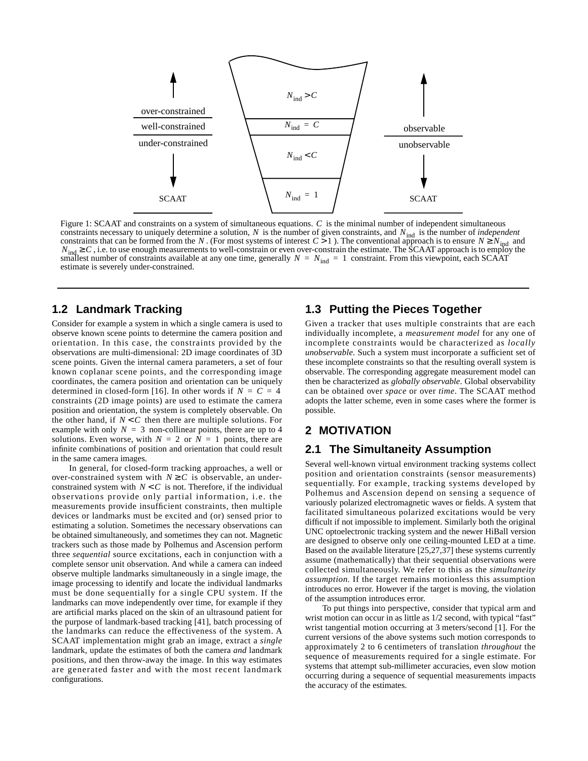

Figure 1: SCAAT and constraints on a system of simultaneous equations.  $C$  is the minimal number of independent simultaneous constraints necessary to uniquely determine a solution,  $N$  is the number of given constraints, and  $N<sub>ind</sub>$  is the number of *independent* constraints that can be formed from the N. (For most systems of interest  $C > 1$ ). The conventional approach is to ensure  $N \ge N_{\text{ind}}$  and  $N_{\text{ind}} \geq C$ , i.e. to use enough measurements to well-constrain or even over-constrain the estimate. The SCAAT approach is to employ the smallest number of constraints available at any one time, generally  $N = N_{ind} = 1$  constraint. From this viewpoint, each SCAAT estimate is severely under-constrained.

# **1.2 Landmark Tracking**

Consider for example a system in which a single camera is used to observe known scene points to determine the camera position and orientation. In this case, the constraints provided by the observations are multi-dimensional: 2D image coordinates of 3D scene points. Given the internal camera parameters, a set of four known coplanar scene points, and the corresponding image coordinates, the camera position and orientation can be uniquely determined in closed-form [16]. In other words if  $N = C = 4$ constraints (2D image points) are used to estimate the camera position and orientation, the system is completely observable. On the other hand, if  $N < C$  then there are multiple solutions. For example with only  $N = 3$  non-collinear points, there are up to 4 solutions. Even worse, with  $N = 2$  or  $N = 1$  points, there are infinite combinations of position and orientation that could result in the same camera images.

In general, for closed-form tracking approaches, a well or over-constrained system with  $N \geq C$  is observable, an underconstrained system with  $N < C$  is not. Therefore, if the individual observations provide only partial information, i.e. the measurements provide insufficient constraints, then multiple devices or landmarks must be excited and (or) sensed prior to estimating a solution. Sometimes the necessary observations can be obtained simultaneously, and sometimes they can not. Magnetic trackers such as those made by Polhemus and Ascension perform three *sequential* source excitations, each in conjunction with a complete sensor unit observation. And while a camera can indeed observe multiple landmarks simultaneously in a single image, the image processing to identify and locate the individual landmarks must be done sequentially for a single CPU system. If the landmarks can move independently over time, for example if they are artificial marks placed on the skin of an ultrasound patient for the purpose of landmark-based tracking [41], batch processing of the landmarks can reduce the effectiveness of the system. A SCAAT implementation might grab an image, extract a *single* landmark, update the estimates of both the camera *and* landmark positions, and then throw-away the image. In this way estimates are generated faster and with the most recent landmark configurations.

### **1.3 Putting the Pieces Together**

Given a tracker that uses multiple constraints that are each individually incomplete, a *measurement model* for any one of incomplete constraints would be characterized as *locally unobservable*. Such a system must incorporate a sufficient set of these incomplete constraints so that the resulting overall system is observable. The corresponding aggregate measurement model can then be characterized as *globally observable*. Global observability can be obtained over *space* or over *time*. The SCAAT method adopts the latter scheme, even in some cases where the former is possible.

### **2 MOTIVATION**

# **2.1 The Simultaneity Assumption**

Several well-known virtual environment tracking systems collect position and orientation constraints (sensor measurements) sequentially. For example, tracking systems developed by Polhemus and Ascension depend on sensing a sequence of variously polarized electromagnetic waves or fields. A system that facilitated simultaneous polarized excitations would be very difficult if not impossible to implement. Similarly both the original UNC optoelectronic tracking system and the newer HiBall version are designed to observe only one ceiling-mounted LED at a time. Based on the available literature [25,27,37] these systems currently assume (mathematically) that their sequential observations were collected simultaneously. We refer to this as the *simultaneity assumption*. If the target remains motionless this assumption introduces no error. However if the target is moving, the violation of the assumption introduces error.

To put things into perspective, consider that typical arm and wrist motion can occur in as little as  $1/2$  second, with typical "fast" wrist tangential motion occurring at 3 meters/second [1]. For the current versions of the above systems such motion corresponds to approximately 2 to 6 centimeters of translation *throughout* the sequence of measurements required for a single estimate. For systems that attempt sub-millimeter accuracies, even slow motion occurring during a sequence of sequential measurements impacts the accuracy of the estimates.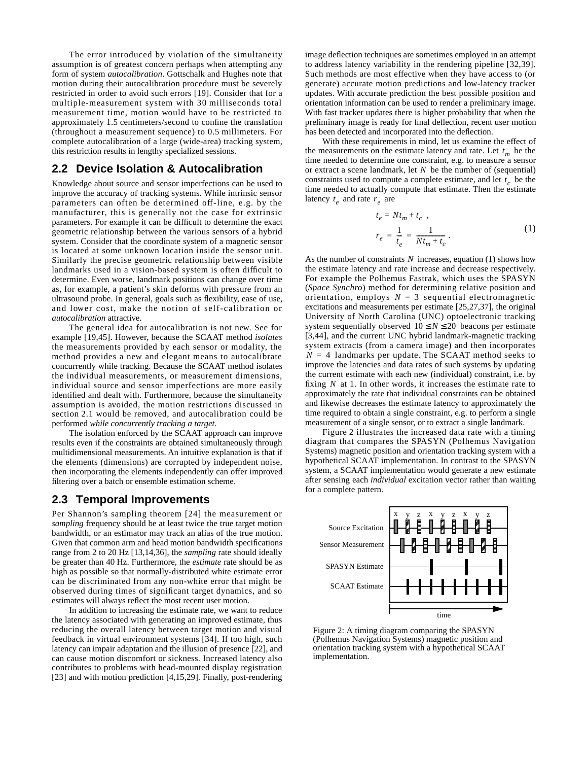The error introduced by violation of the simultaneity assumption is of greatest concern perhaps when attempting any form of system *autocalibration*. Gottschalk and Hughes note that motion during their autocalibration procedure must be severely restricted in order to avoid such errors [19]. Consider that for a multiple-measurement system with 30 milliseconds total measurement time, motion would have to be restricted to approximately 1.5 centimeters/second to confine the translation (throughout a measurement sequence) to 0.5 millimeters. For complete autocalibration of a large (wide-area) tracking system, this restriction results in lengthy specialized sessions.

### **2.2 Device Isolation & Autocalibration**

Knowledge about source and sensor imperfections can be used to improve the accuracy of tracking systems. While intrinsic sensor parameters can often be determined off-line, e.g. by the manufacturer, this is generally not the case for extrinsic parameters. For example it can be difficult to determine the exact geometric relationship between the various sensors of a hybrid system. Consider that the coordinate system of a magnetic sensor is located at some unknown location inside the sensor unit. Similarly the precise geometric relationship between visible landmarks used in a vision-based system is often difficult to determine. Even worse, landmark positions can change over time as, for example, a patient's skin deforms with pressure from an ultrasound probe. In general, goals such as flexibility, ease of use, and lower cost, make the notion of self-calibration or *autocalibration* attractive.

The general idea for autocalibration is not new. See for example [19,45]. However, because the SCAAT method *isolates* the measurements provided by each sensor or modality, the method provides a new and elegant means to autocalibrate concurrently while tracking. Because the SCAAT method isolates the individual measurements, or measurement dimensions, individual source and sensor imperfections are more easily identified and dealt with. Furthermore, because the simultaneity assumption is avoided, the motion restrictions discussed in section 2.1 would be removed, and autocalibration could be performed *while concurrently tracking a target*.

The isolation enforced by the SCAAT approach can improve results even if the constraints are obtained simultaneously through multidimensional measurements. An intuitive explanation is that if the elements (dimensions) are corrupted by independent noise, then incorporating the elements independently can offer improved filtering over a batch or ensemble estimation scheme.

### **2.3 Temporal Improvements**

Per Shannon's sampling theorem [24] the measurement or *sampling* frequency should be at least twice the true target motion bandwidth, or an estimator may track an alias of the true motion. Given that common arm and head motion bandwidth specifications range from 2 to 20 Hz [13,14,36], the *sampling* rate should ideally be greater than 40 Hz. Furthermore, the *estimate* rate should be as high as possible so that normally-distributed white estimate error can be discriminated from any non-white error that might be observed during times of significant target dynamics, and so estimates will always reflect the most recent user motion.

In addition to increasing the estimate rate, we want to reduce the latency associated with generating an improved estimate, thus reducing the overall latency between target motion and visual feedback in virtual environment systems [34]. If too high, such latency can impair adaptation and the illusion of presence [22], and can cause motion discomfort or sickness. Increased latency also contributes to problems with head-mounted display registration [23] and with motion prediction [4,15,29]. Finally, post-rendering

image deflection techniques are sometimes employed in an attempt to address latency variability in the rendering pipeline [32,39]. Such methods are most effective when they have access to (or generate) accurate motion predictions and low-latency tracker updates. With accurate prediction the best possible position and orientation information can be used to render a preliminary image. With fast tracker updates there is higher probability that when the preliminary image is ready for final deflection, recent user motion has been detected and incorporated into the deflection.

With these requirements in mind, let us examine the effect of the measurements on the estimate latency and rate. Let  $t_m$  be the time needed to determine one constraint, e.g. to measure a sensor or extract a scene landmark, let  $N$  be the number of (sequential) constraints used to compute a complete estimate, and let  $t_c$  be the time needed to actually compute that estimate. Then the estimate latency  $t_e$  and rate  $r_e$  are

$$
t_e = Nt_m + t_c ,
$$
  
\n
$$
r_e = \frac{1}{t_e} = \frac{1}{Nt_m + t_c}.
$$
 (1)

As the number of constraints  $N$  increases, equation  $(1)$  shows how the estimate latency and rate increase and decrease respectively. For example the Polhemus Fastrak, which uses the SPASYN (*Space Synchro*) method for determining relative position and orientation, employs  $N = 3$  sequential electromagnetic excitations and measurements per estimate [25,27,37], the original University of North Carolina (UNC) optoelectronic tracking system sequentially observed  $10 \le N \le 20$  beacons per estimate [3,44], and the current UNC hybrid landmark-magnetic tracking system extracts (from a camera image) and then incorporates  $N = 4$  landmarks per update. The SCAAT method seeks to improve the latencies and data rates of such systems by updating the current estimate with each new (individual) constraint, i.e. by fixing  $N$  at 1. In other words, it increases the estimate rate to approximately the rate that individual constraints can be obtained and likewise decreases the estimate latency to approximately the time required to obtain a single constraint, e.g. to perform a single measurement of a single sensor, or to extract a single landmark.

Figure 2 illustrates the increased data rate with a timing diagram that compares the SPASYN (Polhemus Navigation Systems) magnetic position and orientation tracking system with a hypothetical SCAAT implementation. In contrast to the SPASYN system, a SCAAT implementation would generate a new estimate after sensing each *individual* excitation vector rather than waiting for a complete pattern.



Figure 2: A timing diagram comparing the SPASYN (Polhemus Navigation Systems) magnetic position and orientation tracking system with a hypothetical SCAAT implementation.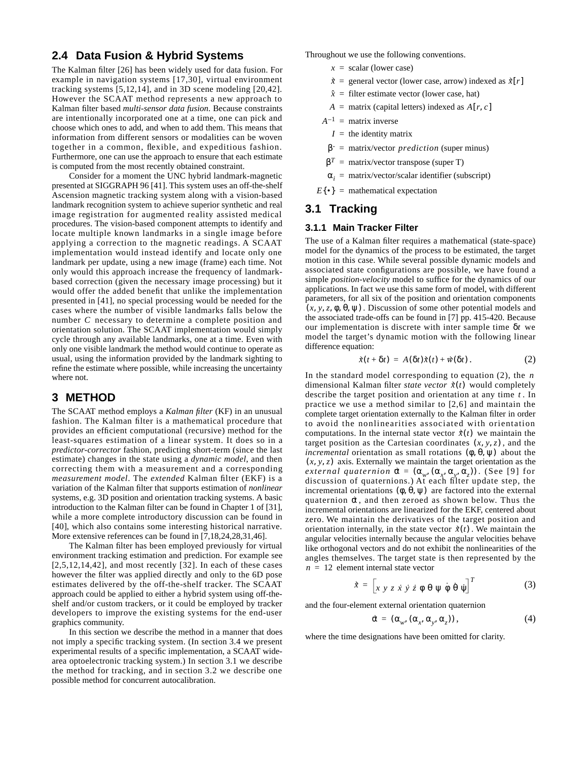# **2.4 Data Fusion & Hybrid Systems**

The Kalman filter [26] has been widely used for data fusion. For example in navigation systems [17,30], virtual environment tracking systems [5,12,14], and in 3D scene modeling [20,42]. However the SCAAT method represents a new approach to Kalman filter based *multi-sensor data fusion*. Because constraints are intentionally incorporated one at a time, one can pick and choose which ones to add, and when to add them. This means that information from different sensors or modalities can be woven together in a common, flexible, and expeditious fashion. Furthermore, one can use the approach to ensure that each estimate is computed from the most recently obtained constraint.

Consider for a moment the UNC hybrid landmark-magnetic presented at SIGGRAPH 96 [41]. This system uses an off-the-shelf Ascension magnetic tracking system along with a vision-based landmark recognition system to achieve superior synthetic and real image registration for augmented reality assisted medical procedures. The vision-based component attempts to identify and locate multiple known landmarks in a single image before applying a correction to the magnetic readings. A SCAAT implementation would instead identify and locate only one landmark per update, using a new image (frame) each time. Not only would this approach increase the frequency of landmarkbased correction (given the necessary image processing) but it would offer the added benefit that unlike the implementation presented in [41], no special processing would be needed for the cases where the number of visible landmarks falls below the number C necessary to determine a complete position and orientation solution. The SCAAT implementation would simply cycle through any available landmarks, one at a time. Even with only one visible landmark the method would continue to operate as usual, using the information provided by the landmark sighting to refine the estimate where possible, while increasing the uncertainty where not.

### **3 METHOD**

The SCAAT method employs a *Kalman filter* (KF) in an unusual fashion. The Kalman filter is a mathematical procedure that provides an efficient computational (recursive) method for the least-squares estimation of a linear system. It does so in a *predictor-corrector* fashion, predicting short-term (since the last estimate) changes in the state using a *dynamic model*, and then correcting them with a measurement and a corresponding *measurement model*. The *extended* Kalman filter (EKF) is a variation of the Kalman filter that supports estimation of *nonlinear* systems, e.g. 3D position and orientation tracking systems. A basic introduction to the Kalman filter can be found in Chapter 1 of [31], while a more complete introductory discussion can be found in [40], which also contains some interesting historical narrative. More extensive references can be found in [7,18,24,28,31,46].

The Kalman filter has been employed previously for virtual environment tracking estimation and prediction. For example see  $[2,5,12,14,42]$ , and most recently  $[32]$ . In each of these cases however the filter was applied directly and only to the 6D pose estimates delivered by the off-the-shelf tracker. The SCAAT approach could be applied to either a hybrid system using off-theshelf and/or custom trackers, or it could be employed by tracker developers to improve the existing systems for the end-user graphics community.

In this section we describe the method in a manner that does not imply a specific tracking system. (In section 3.4 we present experimental results of a specific implementation, a SCAAT widearea optoelectronic tracking system.) In section 3.1 we describe the method for tracking, and in section 3.2 we describe one possible method for concurrent autocalibration.

Throughout we use the following conventions.

- $x = scalar$  (lower case)
- $\dot{x}$  = general vector (lower case, arrow) indexed as  $\dot{x}[r]$
- $\hat{x}$  = filter estimate vector (lower case, hat)
- $A =$  matrix (capital letters) indexed as  $A[r, c]$
- $A^{-1}$  = matrix inverse
	- $I =$  the identity matrix
- $\beta$ <sup>-</sup> = matrix/vector *prediction* (super minus)
- $β<sup>T</sup> =$  matrix/vector transpose (super T)
- $\alpha_i$  = matrix/vector/scalar identifier (subscript)

 $E\{\cdot\}$  = mathematical expectation

# **3.1 Tracking**

### **3.1.1 Main Tracker Filter**

The use of a Kalman filter requires a mathematical (state-space) model for the dynamics of the process to be estimated, the target motion in this case. While several possible dynamic models and associated state configurations are possible, we have found a simple *position-velocity* model to suffice for the dynamics of our applications. In fact we use this same form of model, with different parameters, for all six of the position and orientation components  $(x, y, z, \phi, \theta, \psi)$ . Discussion of some other potential models and the associated trade-offs can be found in [7] pp. 415-420. Because our implementation is discrete with inter sample time  $\delta t$  we model the target's dynamic motion with the following linear difference equation:

$$
\dot{\bar{x}}(t+\delta t) = A(\delta t)\dot{\bar{x}}(t) + \vec{w}(\delta t).
$$
 (2)

In the standard model corresponding to equation (2), the *n* dimensional Kalman filter *state vector*  $\dot{x}(t)$  would completely describe the target position and orientation at any time t. In practice we use a method similar to [2,6] and maintain the complete target orientation externally to the Kalman filter in order to avoid the nonlinearities associated with orientation computations. In the internal state vector  $\dot{x}(t)$  we maintain the target position as the Cartesian coordinates  $(x, y, z)$ , and the *incremental* orientation as small rotations  $(\phi, \theta, \psi)$  about the  $(x, y, z)$  axis. Externally we maintain the target orientation as the  $\alpha$  *external quaternion*  $\alpha = (\alpha_w, (\alpha_x, \alpha_y, \alpha_z))$ . (See [9] for discussion of quaternions.) At each filter update step, the incremental orientations  $(\phi, \theta, \psi)$  are factored into the external quaternion  $\alpha$ , and then zeroed as shown below. Thus the incremental orientations are linearized for the EKF, centered about zero. We maintain the derivatives of the target position and orientation internally, in the state vector  $\dot{x}(t)$ . We maintain the angular velocities internally because the angular velocities behave like orthogonal vectors and do not exhibit the nonlinearities of the angles themselves. The target state is then represented by the  $n = 12$  element internal state vector

$$
\dot{x} = \begin{bmatrix} x & y & z & \dot{x} & \dot{y} & \dot{z} & \phi & \theta & \psi & \dot{\phi} & \dot{\theta} & \dot{\psi} \end{bmatrix}^T
$$
 (3)

and the four-element external orientation quaternion

$$
\vec{\alpha} = (\alpha_w, (\alpha_x, \alpha_y, \alpha_z)), \qquad (4)
$$

where the time designations have been omitted for clarity.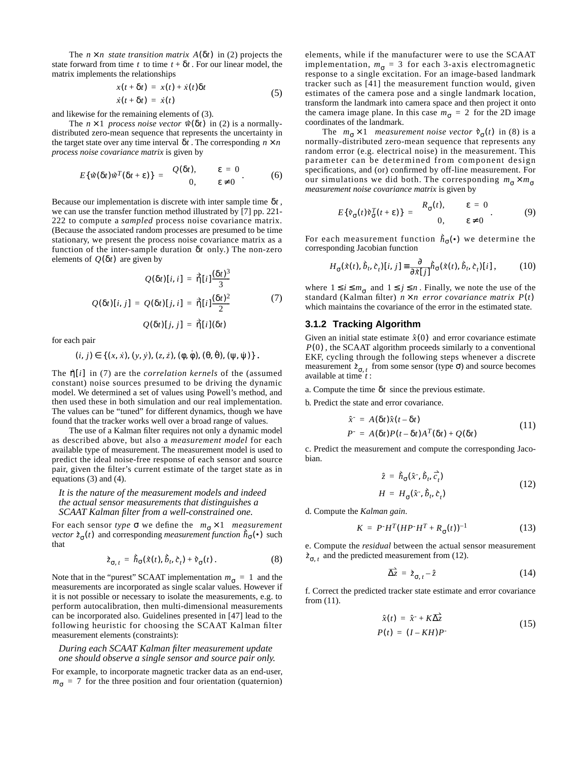The  $n \times n$  state transition matrix  $A(\delta t)$  in (2) projects the state forward from time t to time  $t + \delta t$ . For our linear model, the matrix implements the relationships

$$
x(t + \delta t) = x(t) + \dot{x}(t)\delta t
$$
  
\n
$$
\dot{x}(t + \delta t) = \dot{x}(t)
$$
\n(5)

and likewise for the remaining elements of (3).

The  $n \times 1$  *process noise vector*  $\vec{w}(\delta t)$  in (2) is a normallydistributed zero-mean sequence that represents the uncertainty in the target state over any time interval  $\delta t$ . The corresponding  $n \times n$ *process noise covariance matrix* is given by

$$
E\{\vec{w}(\delta t)\vec{w}^T(\delta t+\epsilon)\} = \begin{cases} Q(\delta t), & \epsilon = 0 \\ 0, & \epsilon \neq 0 \end{cases}.
$$
 (6)

Because our implementation is discrete with inter sample time  $\delta t$ , we can use the transfer function method illustrated by [7] pp. 221- 222 to compute a *sampled* process noise covariance matrix. (Because the associated random processes are presumed to be time stationary, we present the process noise covariance matrix as a function of the inter-sample duration  $\delta t$  only.) The non-zero elements of  $Q(\delta t)$  are given by

$$
Q(\delta t)[i, i] = \vec{\eta}[i]\frac{(\delta t)^3}{3}
$$

$$
Q(\delta t)[i, j] = Q(\delta t)[j, i] = \vec{\eta}[i]\frac{(\delta t)^2}{2}
$$
(7)
$$
Q(\delta t)[j, j] = \vec{\eta}[i](\delta t)
$$

for each pair

$$
(i, j) \in \{ (x, \dot{x}), (y, \dot{y}), (z, \dot{z}), (\phi, \dot{\phi}), (\theta, \dot{\theta}), (\psi, \dot{\psi}) \}.
$$

The  $\vec{\eta}[i]$  in (7) are the *correlation kernels* of the (assumed constant) noise sources presumed to be driving the dynamic model. We determined a set of values using Powell's method, and then used these in both simulation and our real implementation. The values can be "tuned" for different dynamics, though we have found that the tracker works well over a broad range of values.

The use of a Kalman filter requires not only a dynamic model as described above, but also a *measurement model* for each available type of measurement. The measurement model is used to predict the ideal noise-free response of each sensor and source pair, given the filter's current estimate of the target state as in equations (3) and (4).

#### *It is the nature of the measurement models and indeed the actual sensor measurements that distinguishes a SCAAT Kalman filter from a well-constrained one.*

For each sensor *type* **σ** we define the  $m_\sigma \times 1$  measurement *vector*  $\dot{\vec{z}}_{\sigma}(t)$  and corresponding *measurement function*  $\vec{h}_{\sigma}(\cdot)$  such that

$$
\dot{\vec{z}}_{\sigma, t} = \dot{h}_{\sigma}(\dot{x}(t), \dot{b}_t, \dot{c}_t) + \dot{v}_{\sigma}(t).
$$
 (8)

Note that in the "purest" SCAAT implementation  $m_{\sigma} = 1$  and the measurements are incorporated as single scalar values. However if it is not possible or necessary to isolate the measurements, e.g. to perform autocalibration, then multi-dimensional measurements can be incorporated also. Guidelines presented in [47] lead to the following heuristic for choosing the SCAAT Kalman filter measurement elements (constraints):

#### *During each SCAAT Kalman filter measurement update one should observe a single sensor and source pair only.*

For example, to incorporate magnetic tracker data as an end-user, *m*<sub>σ</sub> = 7 for the three position and four orientation (quaternion)

elements, while if the manufacturer were to use the SCAAT implementation,  $m_{\sigma} = 3$  for each 3-axis electromagnetic response to a single excitation. For an image-based landmark tracker such as [41] the measurement function would, given estimates of the camera pose and a single landmark location, transform the landmark into camera space and then project it onto the camera image plane. In this case  $m_{\sigma} = 2$  for the 2D image coordinates of the landmark.

The  $m_{\sigma} \times 1$  *measurement noise vector*  $\dot{v}_{\sigma}(t)$  in (8) is a normally-distributed zero-mean sequence that represents any random error (e.g. electrical noise) in the measurement. This parameter can be determined from component design specifications, and (or) confirmed by off-line measurement. For our simulations we did both. The corresponding  $m_σ \times m_σ$ *measurement noise covariance matrix* is given by

$$
E\{\dot{v}_{\sigma}(t)\dot{v}_{\sigma}^{T}(t+\varepsilon)\} = \begin{cases} R_{\sigma}(t), & \varepsilon = 0 \\ 0, & \varepsilon \neq 0 \end{cases}.
$$
 (9)

For each measurement function  $\vec{h}_{\sigma}(\cdot)$  we determine the corresponding Jacobian function

$$
H_{\sigma}(\dot{x}(t), \dot{\vec{b}}_t, \dot{\vec{c}}_t)[i, j] \equiv \frac{\partial}{\partial \dot{x}[j]} \dot{\vec{h}}_{\sigma}(\dot{x}(t), \dot{\vec{b}}_t, \dot{\vec{c}}_t)[i], \qquad (10)
$$

where  $1 \le i \le m_{\sigma}$  and  $1 \le j \le n$ . Finally, we note the use of the standard (Kalman filter)  $n \times n$  error covariance matrix  $P(t)$ which maintains the covariance of the error in the estimated state.

#### **3.1.2 Tracking Algorithm**

Given an initial state estimate  $\hat{x}(0)$  and error covariance estimate  $P(0)$ , the SCAAT algorithm proceeds similarly to a conventional EKF, cycling through the following steps whenever a discrete measurement  $\dot{z}_{\sigma, t}$  from some sensor (type  $\sigma$ ) and source becomes available at time  $t$ :

a. Compute the time  $\delta t$  since the previous estimate.

b. Predict the state and error covariance.

$$
\hat{x}^{\text{-}} = A(\delta t)\hat{x}(t - \delta t)
$$
\n
$$
P^{\text{-}} = A(\delta t)P(t - \delta t)A^{T}(\delta t) + Q(\delta t)
$$
\n(11)

c. Predict the measurement and compute the corresponding Jacobian.

$$
\hat{z} = \vec{h}_{\sigma}(\hat{x}^{\cdot}, \vec{b}_{t}, \vec{c}_{t})
$$
  
\n
$$
H = H_{\sigma}(\hat{x}^{\cdot}, \vec{b}_{t}, \vec{c}_{t})
$$
\n(12)

d. Compute the *Kalman gain*.

$$
K = P^{\dagger}H^{T}(HP^{\dagger}H^{T} + R_{\sigma}(t))^{-1} \tag{13}
$$

e. Compute the *residual* between the actual sensor measurement  $\dot{z}_{\sigma, t}$  and the predicted measurement from (12).

$$
\overrightarrow{\Delta z} = \dot{z}_{\sigma, t} - \hat{z}
$$
 (14)

f. Correct the predicted tracker state estimate and error covariance from (11).

$$
\hat{x}(t) = \hat{x}^{\text{-}} + K\overrightarrow{\Delta z}
$$
  
\n
$$
P(t) = (I - KH)P^{\text{-}}
$$
\n(15)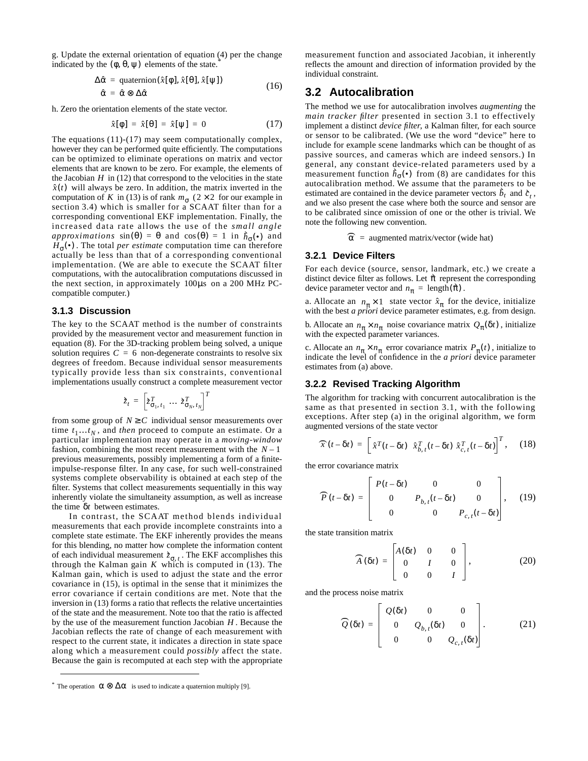g. Update the external orientation of equation (4) per the change indicated by the  $(\phi, \theta, \psi)$  elements of the state.<sup>\*</sup>

$$
\Delta \hat{\alpha} = \text{quaternion}(\hat{x}[\phi], \hat{x}[\theta], \hat{x}[\psi])
$$
\n(16)

$$
\hat{\alpha}~=~\hat{\alpha} \otimes \Delta \hat{\alpha}
$$

h. Zero the orientation elements of the state vector.

$$
\hat{x}[\phi] = \hat{x}[\theta] = \hat{x}[\psi] = 0 \tag{17}
$$

The equations (11)-(17) may seem computationally complex, however they can be performed quite efficiently. The computations can be optimized to eliminate operations on matrix and vector elements that are known to be zero. For example, the elements of the Jacobian  $H$  in (12) that correspond to the velocities in the state  $\hat{x}(t)$  will always be zero. In addition, the matrix inverted in the computation of K in (13) is of rank  $m_{\sigma}$  (2 × 2 for our example in section 3.4) which is smaller for a SCAAT filter than for a corresponding conventional EKF implementation. Finally, the increased data rate allows the use of the *small angle*  $approximations \sin(\theta) = \theta \text{ and } \cos(\theta) = 1 \text{ in } \vec{h}_{\sigma}(\bullet) \text{ and }$ . The total *per estimate* computation time can therefore *H*σ( )• actually be less than that of a corresponding conventional implementation. (We are able to execute the SCAAT filter computations, with the autocalibration computations discussed in the next section, in approximately 100µs on a 200 MHz PCcompatible computer.)

#### **3.1.3 Discussion**

The key to the SCAAT method is the number of constraints provided by the measurement vector and measurement function in equation (8). For the 3D-tracking problem being solved, a unique solution requires  $C = 6$  non-degenerate constraints to resolve six degrees of freedom. Because individual sensor measurements typically provide less than six constraints, conventional implementations usually construct a complete measurement vector

$$
\dot{\bar{z}}_t = \begin{bmatrix} \dot{\bar{z}}_{\sigma_1, t_1}^T \dots \dot{\bar{z}}_{\sigma_N, t_N}^T \end{bmatrix}^T
$$

from some group of  $N \geq C$  individual sensor measurements over time  $t_1...t_N$ , and *then* proceed to compute an estimate. Or a particular implementation may operate in a *moving-window* fashion, combining the most recent measurement with the  $N-1$ previous measurements, possibly implementing a form of a finiteimpulse-response filter. In any case, for such well-constrained systems complete observability is obtained at each step of the filter. Systems that collect measurements sequentially in this way inherently violate the simultaneity assumption, as well as increase the time  $\delta t$  between estimates.

In contrast, the SCAAT method blends individual measurements that each provide incomplete constraints into a complete state estimate. The EKF inherently provides the means for this blending, no matter how complete the information content of each individual measurement  $\dot{z}_{\sigma, t}$ . The EKF accomplishes this through the Kalman gain  $K$  which is computed in  $(13)$ . The Kalman gain, which is used to adjust the state and the error covariance in (15), is optimal in the sense that it minimizes the error covariance if certain conditions are met. Note that the inversion in (13) forms a ratio that reflects the relative uncertainties of the state and the measurement. Note too that the ratio is affected by the use of the measurement function Jacobian  $H$ . Because the Jacobian reflects the rate of change of each measurement with respect to the current state, it indicates a direction in state space along which a measurement could *possibly* affect the state. Because the gain is recomputed at each step with the appropriate

measurement function and associated Jacobian, it inherently reflects the amount and direction of information provided by the individual constraint.

### **3.2 Autocalibration**

The method we use for autocalibration involves *augmenting* the *main tracker filter* presented in section 3.1 to effectively implement a distinct *device filter*, a Kalman filter, for each source or sensor to be calibrated. (We use the word "device" here to include for example scene landmarks which can be thought of as passive sources, and cameras which are indeed sensors.) In general, any constant device-related parameters used by a measurement function  $\bar{h}_{\sigma}(\cdot)$  from (8) are candidates for this autocalibration method. We assume that the parameters to be estimated are contained in the device parameter vectors  $\bar{b}_t$  and  $\dot{c}_t$ , and we also present the case where both the source and sensor are to be calibrated since omission of one or the other is trivial. We note the following new convention.

 $\hat{\alpha}$  = augmented matrix/vector (wide hat)

#### **3.2.1 Device Filters**

For each device (source, sensor, landmark, etc.) we create a distinct device filter as follows. Let  $\hat{\pi}$  represent the corresponding device parameter vector and  $n_{\pi}$  = length( $\hat{\pi}$ ).

a. Allocate an  $n_{\pi} \times 1$  state vector  $\hat{x}_{\pi}$  for the device, initialize with the best *a priori* device parameter estimates, e.g. from design.

b. Allocate an  $n_{\pi} \times n_{\pi}$  noise covariance matrix  $Q_{\pi}(\delta t)$ , initialize with the expected parameter variances.

c. Allocate an  $n_{\pi} \times n_{\pi}$  error covariance matrix  $P_{\pi}(t)$ , initialize to indicate the level of confidence in the *a priori* device parameter estimates from (a) above.

#### **3.2.2 Revised Tracking Algorithm**

The algorithm for tracking with concurrent autocalibration is the same as that presented in section 3.1, with the following exceptions. After step (a) in the original algorithm, we form augmented versions of the state vector

$$
\widehat{x}(t-\delta t) = \left[ \hat{x}^T(t-\delta t) \ \hat{x}_{b,t}^T(t-\delta t) \ \hat{x}_{c,t}^T(t-\delta t) \right]^T, \quad (18)
$$

the error covariance matrix

$$
\widehat{P}(t-\delta t) = \begin{bmatrix} P(t-\delta t) & 0 & 0 \\ 0 & P_{b,t}(t-\delta t) & 0 \\ 0 & 0 & P_{c,t}(t-\delta t) \end{bmatrix}, (19)
$$

the state transition matrix

$$
\widehat{A}(\delta t) = \begin{bmatrix} A(\delta t) & 0 & 0 \\ 0 & I & 0 \\ 0 & 0 & I \end{bmatrix},
$$
 (20)

and the process noise matrix

$$
\widehat{Q}(\delta t) = \begin{bmatrix} Q(\delta t) & 0 & 0 \\ 0 & Q_{b,t}(\delta t) & 0 \\ 0 & 0 & Q_{c,t}(\delta t) \end{bmatrix}.
$$
 (21)

<sup>\*</sup> The operation  $\alpha \otimes \Delta \alpha$  is used to indicate a quaternion multiply [9].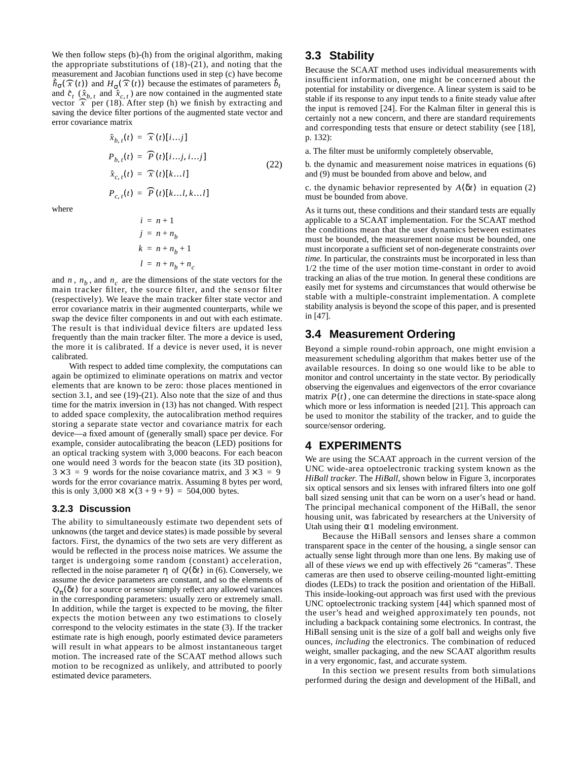We then follow steps (b)-(h) from the original algorithm, making the appropriate substitutions of (18)-(21), and noting that the measurement and Jacobian functions used in step (c) have become  $h_{\sigma}(\widehat{x}(t))$  and  $H_{\sigma}(\widehat{x}(t))$  because the estimates of parameters  $\overline{b}_t$ and  $\hat{c}_t$  ( $\hat{x}_{b,t}$  and  $\hat{x}_{c,t}$ ) are now contained in the augmented state vector  $\hat{x}$  per (18). After step (h) we finish by extracting and saving the device filter portions of the augmented state vector and error covariance matrix

$$
\hat{x}_{b,t}(t) = \hat{x}(t)[i...j] \nP_{b,t}(t) = \hat{P}(t)[i...j, i...j] \n\hat{x}_{c,t}(t) = \hat{x}(t)[k...l] \nP_{c,t}(t) = \hat{P}(t)[k...l, k...l]
$$
\n(22)

where

$$
i = n + 1
$$
  
\n
$$
j = n + n_b
$$
  
\n
$$
k = n + n_b + 1
$$
  
\n
$$
l = n + n_b + n_c
$$

and  $n$ ,  $n_b$ , and  $n_c$  are the dimensions of the state vectors for the main tracker filter, the source filter, and the sensor filter (respectively). We leave the main tracker filter state vector and error covariance matrix in their augmented counterparts, while we swap the device filter components in and out with each estimate. The result is that individual device filters are updated less frequently than the main tracker filter. The more a device is used, the more it is calibrated. If a device is never used, it is never calibrated.

With respect to added time complexity, the computations can again be optimized to eliminate operations on matrix and vector elements that are known to be zero: those places mentioned in section 3.1, and see (19)-(21). Also note that the size of and thus time for the matrix inversion in (13) has not changed. With respect to added space complexity, the autocalibration method requires storing a separate state vector and covariance matrix for each device—a fixed amount of (generally small) space per device. For example, consider autocalibrating the beacon (LED) positions for an optical tracking system with 3,000 beacons. For each beacon one would need 3 words for the beacon state (its 3D position),  $3 \times 3 = 9$  words for the noise covariance matrix, and  $3 \times 3 = 9$ words for the error covariance matrix. Assuming 8 bytes per word, this is only  $3,000 \times 8 \times (3 + 9 + 9) = 504,000$  bytes.

#### **3.2.3 Discussion**

The ability to simultaneously estimate two dependent sets of unknowns (the target and device states) is made possible by several factors. First, the dynamics of the two sets are very different as would be reflected in the process noise matrices. We assume the target is undergoing some random (constant) acceleration, reflected in the noise parameter  $\eta$  of  $Q(\delta t)$  in (6). Conversely, we assume the device parameters are constant, and so the elements of  $Q_{\pi}(\delta t)$  for a source or sensor simply reflect any allowed variances in the corresponding parameters: usually zero or extremely small. In addition, while the target is expected to be moving, the filter expects the motion between any two estimations to closely correspond to the velocity estimates in the state (3). If the tracker estimate rate is high enough, poorly estimated device parameters will result in what appears to be almost instantaneous target motion. The increased rate of the SCAAT method allows such motion to be recognized as unlikely, and attributed to poorly estimated device parameters.

### **3.3 Stability**

Because the SCAAT method uses individual measurements with insufficient information, one might be concerned about the potential for instability or divergence. A linear system is said to be stable if its response to any input tends to a finite steady value after the input is removed [24]. For the Kalman filter in general this is certainly not a new concern, and there are standard requirements and corresponding tests that ensure or detect stability (see [18], p. 132):

a. The filter must be uniformly completely observable,

b. the dynamic and measurement noise matrices in equations (6) and (9) must be bounded from above and below, and

c. the dynamic behavior represented by  $A(\delta t)$  in equation (2) must be bounded from above.

As it turns out, these conditions and their standard tests are equally applicable to a SCAAT implementation. For the SCAAT method the conditions mean that the user dynamics between estimates must be bounded, the measurement noise must be bounded, one must incorporate a sufficient set of non-degenerate constraints *over time.* In particular, the constraints must be incorporated in less than 1/2 the time of the user motion time-constant in order to avoid tracking an alias of the true motion. In general these conditions are easily met for systems and circumstances that would otherwise be stable with a multiple-constraint implementation. A complete stability analysis is beyond the scope of this paper, and is presented in [47].

### **3.4 Measurement Ordering**

Beyond a simple round-robin approach, one might envision a measurement scheduling algorithm that makes better use of the available resources. In doing so one would like to be able to monitor and control uncertainty in the state vector. By periodically observing the eigenvalues and eigenvectors of the error covariance matrix  $P(t)$ , one can determine the directions in state-space along which more or less information is needed [21]. This approach can be used to monitor the stability of the tracker, and to guide the source/sensor ordering.

### **4 EXPERIMENTS**

We are using the SCAAT approach in the current version of the UNC wide-area optoelectronic tracking system known as the *HiBall tracker*. The *HiBall*, shown below in Figure 3, incorporates six optical sensors and six lenses with infrared filters into one golf ball sized sensing unit that can be worn on a user's head or hand. The principal mechanical component of the HiBall, the senor housing unit, was fabricated by researchers at the University of Utah using their  $\alpha$ 1 modeling environment.

Because the HiBall sensors and lenses share a common transparent space in the center of the housing, a single sensor can actually sense light through more than one lens. By making use of all of these *views* we end up with effectively 26 "cameras". These cameras are then used to observe ceiling-mounted light-emitting diodes (LEDs) to track the position and orientation of the HiBall. This inside-looking-out approach was first used with the previous UNC optoelectronic tracking system [44] which spanned most of the user's head and weighed approximately ten pounds, not including a backpack containing some electronics. In contrast, the HiBall sensing unit is the size of a golf ball and weighs only five ounces, *including* the electronics. The combination of reduced weight, smaller packaging, and the new SCAAT algorithm results in a very ergonomic, fast, and accurate system.

In this section we present results from both simulations performed during the design and development of the HiBall, and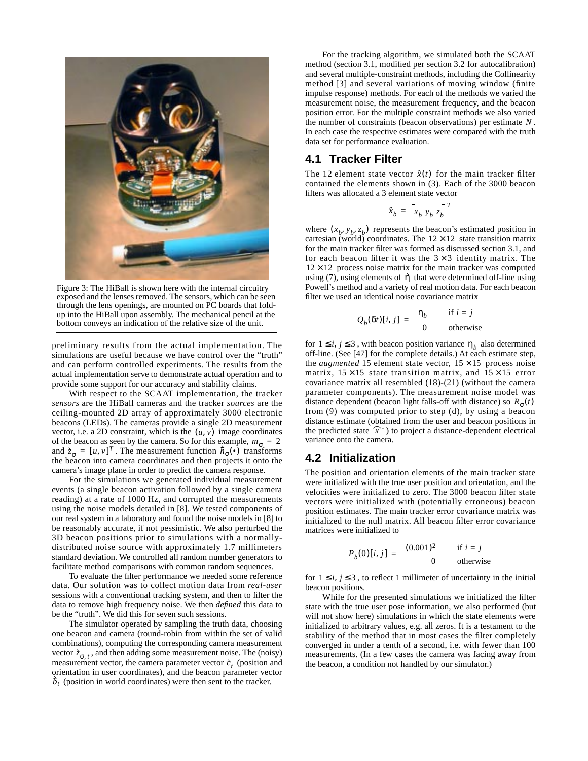

Figure 3: The HiBall is shown here with the internal circuitry exposed and the lenses removed. The sensors, which can be seen through the lens openings, are mounted on PC boards that foldup into the HiBall upon assembly. The mechanical pencil at the bottom conveys an indication of the relative size of the unit.

preliminary results from the actual implementation. The simulations are useful because we have control over the "truth" and can perform controlled experiments. The results from the actual implementation serve to demonstrate actual operation and to provide some support for our accuracy and stability claims.

With respect to the SCAAT implementation, the tracker *sensors* are the HiBall cameras and the tracker *sources* are the ceiling-mounted 2D array of approximately 3000 electronic beacons (LEDs). The cameras provide a single 2D measurement vector, i.e. a 2D constraint, which is the  $(u, v)$  image coordinates of the beacon as seen by the camera. So for this example,  $m_{\sigma} = 2$ and  $\dot{z}_{\sigma} = [u, v]^T$ . The measurement function  $\hat{h}_{\sigma}(\cdot)$  transforms the beacon into camera coordinates and then projects it onto the camera's image plane in order to predict the camera response.

For the simulations we generated individual measurement events (a single beacon activation followed by a single camera reading) at a rate of 1000 Hz, and corrupted the measurements using the noise models detailed in [8]. We tested components of our real system in a laboratory and found the noise models in [8] to be reasonably accurate, if not pessimistic. We also perturbed the 3D beacon positions prior to simulations with a normallydistributed noise source with approximately 1.7 millimeters standard deviation. We controlled all random number generators to facilitate method comparisons with common random sequences.

To evaluate the filter performance we needed some reference data. Our solution was to collect motion data from *real-user* sessions with a conventional tracking system, and then to filter the data to remove high frequency noise. We then *defined* this data to be the "truth". We did this for seven such sessions.

The simulator operated by sampling the truth data, choosing one beacon and camera (round-robin from within the set of valid combinations), computing the corresponding camera measurement vector  $\dot{z}_{\sigma, t}$ , and then adding some measurement noise. The (noisy) measurement vector, the camera parameter vector  $\dot{c}_t$  (position and orientation in user coordinates), and the beacon parameter vector  $\bar{b}_t$  (position in world coordinates) were then sent to the tracker.

For the tracking algorithm, we simulated both the SCAAT method (section 3.1, modified per section 3.2 for autocalibration) and several multiple-constraint methods, including the Collinearity method [3] and several variations of moving window (finite impulse response) methods. For each of the methods we varied the measurement noise, the measurement frequency, and the beacon position error. For the multiple constraint methods we also varied the number of constraints (beacon observations) per estimate  $N$ . In each case the respective estimates were compared with the truth data set for performance evaluation.

### **4.1 Tracker Filter**

The 12 element state vector  $\hat{x}(t)$  for the main tracker filter contained the elements shown in (3). Each of the 3000 beacon filters was allocated a 3 element state vector

$$
\hat{x}_b = \left[x_b \ y_b \ z_b\right]^T
$$

where  $(x_b, y_b, z_b)$  represents the beacon's estimated position in cartesian (world) coordinates. The  $12 \times 12$  state transition matrix for the main tracker filter was formed as discussed section 3.1, and for each beacon filter it was the  $3 \times 3$  identity matrix. The  $12 \times 12$  process noise matrix for the main tracker was computed using (7), using elements of  $\vec{\eta}$  that were determined off-line using Powell's method and a variety of real motion data. For each beacon filter we used an identical noise covariance matrix

$$
Q_b(\delta t)[i, j] = \begin{cases} \eta_b & \text{if } i = j \\ 0 & \text{otherwise} \end{cases}
$$

for  $1 \le i, j \le 3$ , with beacon position variance  $\eta_b$  also determined off-line. (See [47] for the complete details.) At each estimate step, the *augmented* 15 element state vector,  $15 \times 15$  process noise matrix,  $15 \times 15$  state transition matrix, and  $15 \times 15$  error covariance matrix all resembled (18)-(21) (without the camera parameter components). The measurement noise model was distance dependent (beacon light falls-off with distance) so  $R_{\sigma}(t)$ from (9) was computed prior to step (d), by using a beacon distance estimate (obtained from the user and beacon positions in the predicted state  $\hat{x}$ <sup>-</sup>) to project a distance-dependent electrical variance onto the camera.

### **4.2 Initialization**

The position and orientation elements of the main tracker state were initialized with the true user position and orientation, and the velocities were initialized to zero. The 3000 beacon filter state vectors were initialized with (potentially erroneous) beacon position estimates. The main tracker error covariance matrix was initialized to the null matrix. All beacon filter error covariance matrices were initialized to

$$
P_b(0)[i, j] = \begin{cases} (0.001)^2 & \text{if } i = j \\ 0 & \text{otherwise} \end{cases}
$$

for  $1 \le i, j \le 3$ , to reflect 1 millimeter of uncertainty in the initial beacon positions.

While for the presented simulations we initialized the filter state with the true user pose information, we also performed (but will not show here) simulations in which the state elements were initialized to arbitrary values, e.g. all zeros. It is a testament to the stability of the method that in most cases the filter completely converged in under a tenth of a second, i.e. with fewer than 100 measurements. (In a few cases the camera was facing away from the beacon, a condition not handled by our simulator.)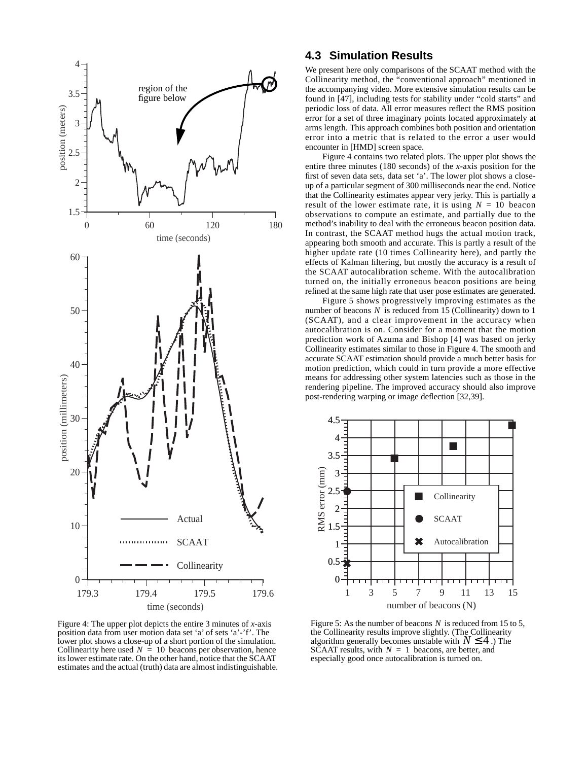

Figure 4: The upper plot depicts the entire 3 minutes of *x*-axis position data from user motion data set 'a' of sets 'a'-'f'. The lower plot shows a close-up of a short portion of the simulation. Collinearity here used  $N = 10$  beacons per observation, hence its lower estimate rate. On the other hand, notice that the SCAAT estimates and the actual (truth) data are almost indistinguishable.

### **4.3 Simulation Results**

We present here only comparisons of the SCAAT method with the Collinearity method, the "conventional approach" mentioned in the accompanying video. More extensive simulation results can be found in [47], including tests for stability under "cold starts" and periodic loss of data. All error measures reflect the RMS position error for a set of three imaginary points located approximately at arms length. This approach combines both position and orientation error into a metric that is related to the error a user would encounter in [HMD] screen space.

Figure 4 contains two related plots. The upper plot shows the entire three minutes (180 seconds) of the *x*-axis position for the first of seven data sets, data set 'a'. The lower plot shows a closeup of a particular segment of 300 milliseconds near the end. Notice that the Collinearity estimates appear very jerky. This is partially a result of the lower estimate rate, it is using  $N = 10$  beacon observations to compute an estimate, and partially due to the method's inability to deal with the erroneous beacon position data. In contrast, the SCAAT method hugs the actual motion track, appearing both smooth and accurate. This is partly a result of the higher update rate (10 times Collinearity here), and partly the effects of Kalman filtering, but mostly the accuracy is a result of the SCAAT autocalibration scheme. With the autocalibration turned on, the initially erroneous beacon positions are being refined at the same high rate that user pose estimates are generated.

Figure 5 shows progressively improving estimates as the number of beacons  $N$  is reduced from 15 (Collinearity) down to 1 (SCAAT), and a clear improvement in the accuracy when autocalibration is on. Consider for a moment that the motion prediction work of Azuma and Bishop [4] was based on jerky Collinearity estimates similar to those in Figure 4. The smooth and accurate SCAAT estimation should provide a much better basis for motion prediction, which could in turn provide a more effective means for addressing other system latencies such as those in the rendering pipeline. The improved accuracy should also improve post-rendering warping or image deflection [32,39].



Figure 5: As the number of beacons  $N$  is reduced from 15 to 5, the Collinearity results improve slightly. (The Collinearity algorithm generally becomes unstable with  $N \leq 4$ .) The SCAAT results, with  $N = 1$  beacons, are better, and especially good once autocalibration is turned on.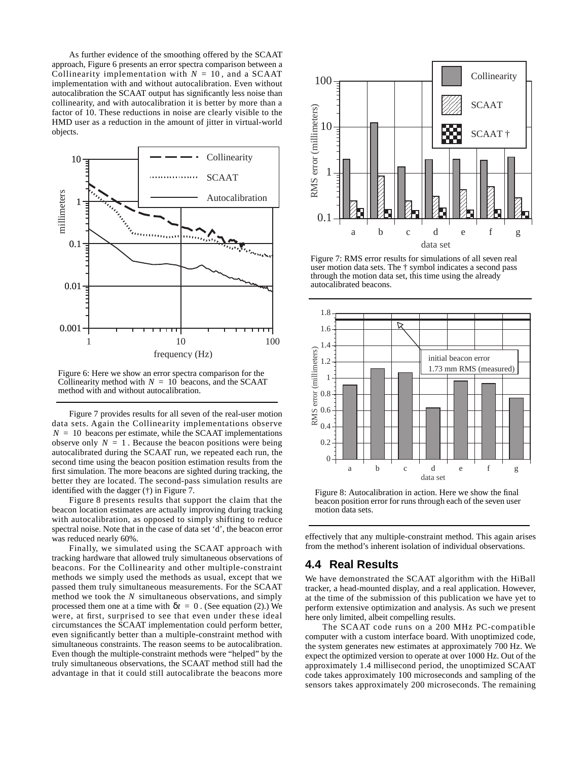As further evidence of the smoothing offered by the SCAAT approach, Figure 6 presents an error spectra comparison between a Collinearity implementation with  $N = 10$ , and a SCAAT implementation with and without autocalibration. Even without autocalibration the SCAAT output has significantly less noise than collinearity, and with autocalibration it is better by more than a factor of 10. These reductions in noise are clearly visible to the HMD user as a reduction in the amount of jitter in virtual-world objects.



Figure 6: Here we show an error spectra comparison for the Collinearity method with  $N = 10$  beacons, and the SCAAT method with and without autocalibration.

Figure 7 provides results for all seven of the real-user motion data sets. Again the Collinearity implementations observe  $N = 10$  beacons per estimate, while the SCAAT implementations observe only  $N = 1$ . Because the beacon positions were being autocalibrated during the SCAAT run, we repeated each run, the second time using the beacon position estimation results from the first simulation. The more beacons are sighted during tracking, the better they are located. The second-pass simulation results are identified with the dagger (†) in Figure 7.

Figure 8 presents results that support the claim that the beacon location estimates are actually improving during tracking with autocalibration, as opposed to simply shifting to reduce spectral noise. Note that in the case of data set 'd', the beacon error was reduced nearly 60%.

Finally, we simulated using the SCAAT approach with tracking hardware that allowed truly simultaneous observations of beacons. For the Collinearity and other multiple-constraint methods we simply used the methods as usual, except that we passed them truly simultaneous measurements. For the SCAAT method we took the N simultaneous observations, and simply processed them one at a time with  $\delta t = 0$ . (See equation (2).) We were, at first, surprised to see that even under these ideal circumstances the SCAAT implementation could perform better, even significantly better than a multiple-constraint method with simultaneous constraints. The reason seems to be autocalibration. Even though the multiple-constraint methods were "helped" by the truly simultaneous observations, the SCAAT method still had the advantage in that it could still autocalibrate the beacons more



Figure 7: RMS error results for simulations of all seven real user motion data sets. The † symbol indicates a second pass through the motion data set, this time using the already autocalibrated beacons.



Figure 8: Autocalibration in action. Here we show the final beacon position error for runs through each of the seven user motion data sets.

effectively that any multiple-constraint method. This again arises from the method's inherent isolation of individual observations.

# **4.4 Real Results**

We have demonstrated the SCAAT algorithm with the HiBall tracker, a head-mounted display, and a real application. However, at the time of the submission of this publication we have yet to perform extensive optimization and analysis. As such we present here only limited, albeit compelling results.

The SCAAT code runs on a 200 MHz PC-compatible computer with a custom interface board. With unoptimized code, the system generates new estimates at approximately 700 Hz. We expect the optimized version to operate at over 1000 Hz. Out of the approximately 1.4 millisecond period, the unoptimized SCAAT code takes approximately 100 microseconds and sampling of the sensors takes approximately 200 microseconds. The remaining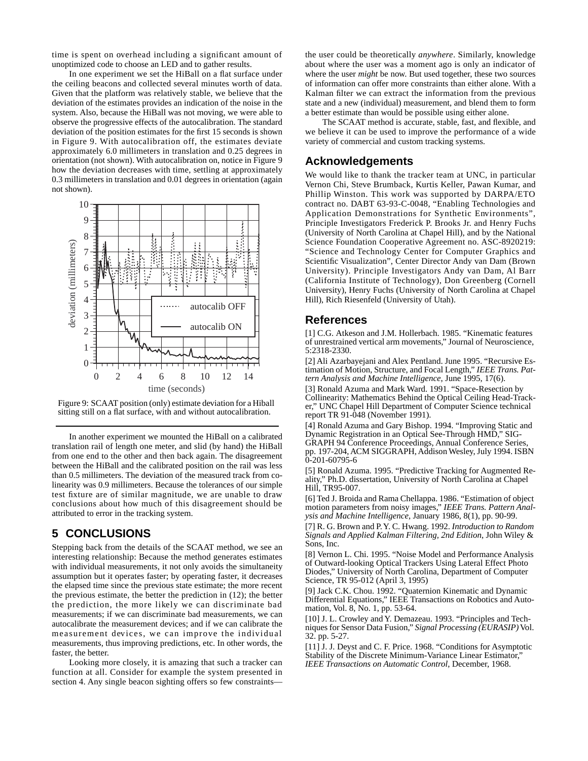time is spent on overhead including a significant amount of unoptimized code to choose an LED and to gather results.

In one experiment we set the HiBall on a flat surface under the ceiling beacons and collected several minutes worth of data. Given that the platform was relatively stable, we believe that the deviation of the estimates provides an indication of the noise in the system. Also, because the HiBall was not moving, we were able to observe the progressive effects of the autocalibration. The standard deviation of the position estimates for the first 15 seconds is shown in Figure 9. With autocalibration off, the estimates deviate approximately 6.0 millimeters in translation and 0.25 degrees in orientation (not shown). With autocalibration on, notice in Figure 9 how the deviation decreases with time, settling at approximately 0.3 millimeters in translation and 0.01 degrees in orientation (again not shown).



Figure 9: SCAAT position (only) estimate deviation for a Hiball sitting still on a flat surface, with and without autocalibration.

In another experiment we mounted the HiBall on a calibrated translation rail of length one meter, and slid (by hand) the HiBall from one end to the other and then back again. The disagreement between the HiBall and the calibrated position on the rail was less than 0.5 millimeters. The deviation of the measured track from colinearity was 0.9 millimeters. Because the tolerances of our simple test fixture are of similar magnitude, we are unable to draw conclusions about how much of this disagreement should be attributed to error in the tracking system.

# **5 CONCLUSIONS**

Stepping back from the details of the SCAAT method, we see an interesting relationship: Because the method generates estimates with individual measurements, it not only avoids the simultaneity assumption but it operates faster; by operating faster, it decreases the elapsed time since the previous state estimate; the more recent the previous estimate, the better the prediction in (12); the better the prediction, the more likely we can discriminate bad measurements; if we can discriminate bad measurements, we can autocalibrate the measurement devices; and if we can calibrate the measurement devices, we can improve the individual measurements, thus improving predictions, etc. In other words, the faster, the better.

Looking more closely, it is amazing that such a tracker can function at all. Consider for example the system presented in section 4. Any single beacon sighting offers so few constraintsthe user could be theoretically *anywhere*. Similarly, knowledge about where the user was a moment ago is only an indicator of where the user *might* be now. But used together, these two sources of information can offer more constraints than either alone. With a Kalman filter we can extract the information from the previous state and a new (individual) measurement, and blend them to form a better estimate than would be possible using either alone.

The SCAAT method is accurate, stable, fast, and flexible, and we believe it can be used to improve the performance of a wide variety of commercial and custom tracking systems.

### **Acknowledgements**

We would like to thank the tracker team at UNC, in particular Vernon Chi, Steve Brumback, Kurtis Keller, Pawan Kumar, and Phillip Winston. This work was supported by DARPA/ETO contract no. DABT 63-93-C-0048, "Enabling Technologies and Application Demonstrations for Synthetic Environments", Principle Investigators Frederick P. Brooks Jr. and Henry Fuchs (University of North Carolina at Chapel Hill), and by the National Science Foundation Cooperative Agreement no. ASC-8920219: "Science and Technology Center for Computer Graphics and Scientific Visualization", Center Director Andy van Dam (Brown University). Principle Investigators Andy van Dam, Al Barr (California Institute of Technology), Don Greenberg (Cornell University), Henry Fuchs (University of North Carolina at Chapel Hill), Rich Riesenfeld (University of Utah).

### **References**

[1] C.G. Atkeson and J.M. Hollerbach. 1985. "Kinematic features of unrestrained vertical arm movements," Journal of Neuroscience, 5:2318-2330.

[2] Ali Azarbayejani and Alex Pentland. June 1995. "Recursive Estimation of Motion, Structure, and Focal Length," *IEEE Trans. Pattern Analysis and Machine Intelligence*, June 1995, 17(6).

[3] Ronald Azuma and Mark Ward. 1991. "Space-Resection by Collinearity: Mathematics Behind the Optical Ceiling Head-Tracker," UNC Chapel Hill Department of Computer Science technical report TR 91-048 (November 1991).

[4] Ronald Azuma and Gary Bishop. 1994. "Improving Static and Dynamic Registration in an Optical See-Through HMD," SIG-GRAPH 94 Conference Proceedings, Annual Conference Series, pp. 197-204, ACM SIGGRAPH, Addison Wesley, July 1994. ISBN 0-201-60795-6

[5] Ronald Azuma. 1995. "Predictive Tracking for Augmented Reality," Ph.D. dissertation, University of North Carolina at Chapel Hill, TR95-007.

[6] Ted J. Broida and Rama Chellappa. 1986. "Estimation of object motion parameters from noisy images," *IEEE Trans. Pattern Analysis and Machine Intelligence*, January 1986, 8(1), pp. 90-99.

[7] R. G. Brown and P. Y. C. Hwang. 1992. *Introduction to Random Signals and Applied Kalman Filtering, 2nd Edition*, John Wiley & Sons, Inc.

[8] Vernon L. Chi. 1995. "Noise Model and Performance Analysis of Outward-looking Optical Trackers Using Lateral Effect Photo Diodes," University of North Carolina, Department of Computer Science, TR 95-012 (April 3, 1995)

[9] Jack C.K. Chou. 1992. "Quaternion Kinematic and Dynamic Differential Equations," IEEE Transactions on Robotics and Automation, Vol. 8, No. 1, pp. 53-64.

[10] J. L. Crowley and Y. Demazeau. 1993. "Principles and Techniques for Sensor Data Fusion," *Signal Processing (EURASIP)* Vol. 32. pp. 5-27.

[11] J. J. Deyst and C. F. Price. 1968. "Conditions for Asymptotic Stability of the Discrete Minimum-Variance Linear Estimator," *IEEE Transactions on Automatic Control*, December, 1968.